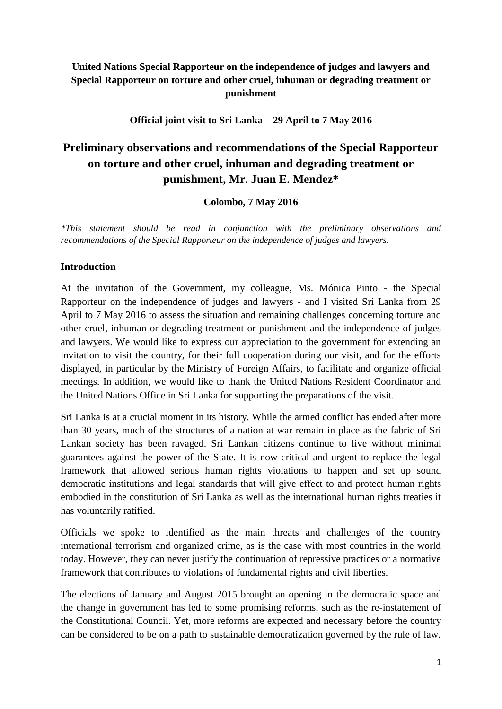# **United Nations Special Rapporteur on the independence of judges and lawyers and Special Rapporteur on torture and other cruel, inhuman or degrading treatment or punishment**

**Official joint visit to Sri Lanka – 29 April to 7 May 2016**

# **Preliminary observations and recommendations of the Special Rapporteur on torture and other cruel, inhuman and degrading treatment or punishment, Mr. Juan E. Mendez\***

**Colombo, 7 May 2016**

*\*This statement should be read in conjunction with the preliminary observations and recommendations of the Special Rapporteur on the independence of judges and lawyers.*

#### **Introduction**

At the invitation of the Government, my colleague, Ms. Mónica Pinto - the Special Rapporteur on the independence of judges and lawyers - and I visited Sri Lanka from 29 April to 7 May 2016 to assess the situation and remaining challenges concerning torture and other cruel, inhuman or degrading treatment or punishment and the independence of judges and lawyers. We would like to express our appreciation to the government for extending an invitation to visit the country, for their full cooperation during our visit, and for the efforts displayed, in particular by the Ministry of Foreign Affairs, to facilitate and organize official meetings. In addition, we would like to thank the United Nations Resident Coordinator and the United Nations Office in Sri Lanka for supporting the preparations of the visit.

Sri Lanka is at a crucial moment in its history. While the armed conflict has ended after more than 30 years, much of the structures of a nation at war remain in place as the fabric of Sri Lankan society has been ravaged. Sri Lankan citizens continue to live without minimal guarantees against the power of the State. It is now critical and urgent to replace the legal framework that allowed serious human rights violations to happen and set up sound democratic institutions and legal standards that will give effect to and protect human rights embodied in the constitution of Sri Lanka as well as the international human rights treaties it has voluntarily ratified.

Officials we spoke to identified as the main threats and challenges of the country international terrorism and organized crime, as is the case with most countries in the world today. However, they can never justify the continuation of repressive practices or a normative framework that contributes to violations of fundamental rights and civil liberties.

The elections of January and August 2015 brought an opening in the democratic space and the change in government has led to some promising reforms, such as the re-instatement of the Constitutional Council. Yet, more reforms are expected and necessary before the country can be considered to be on a path to sustainable democratization governed by the rule of law.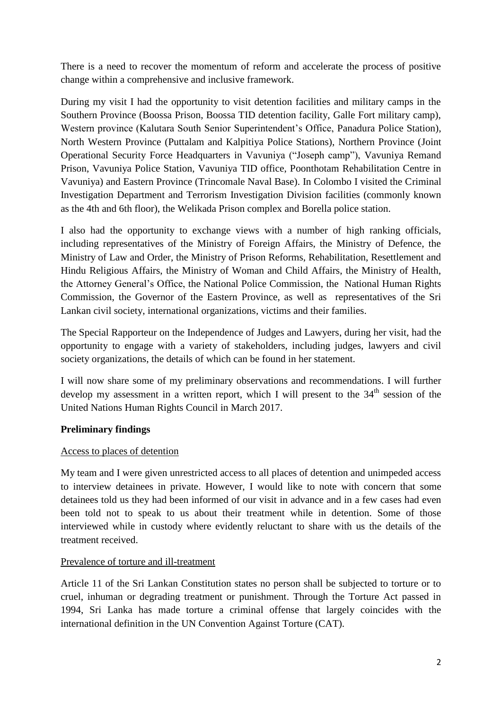There is a need to recover the momentum of reform and accelerate the process of positive change within a comprehensive and inclusive framework.

During my visit I had the opportunity to visit detention facilities and military camps in the Southern Province (Boossa Prison, Boossa TID detention facility, Galle Fort military camp), Western province (Kalutara South Senior Superintendent's Office, Panadura Police Station), North Western Province (Puttalam and Kalpitiya Police Stations), Northern Province (Joint Operational Security Force Headquarters in Vavuniya ("Joseph camp"), Vavuniya Remand Prison, Vavuniya Police Station, Vavuniya TID office, Poonthotam Rehabilitation Centre in Vavuniya) and Eastern Province (Trincomale Naval Base). In Colombo I visited the Criminal Investigation Department and Terrorism Investigation Division facilities (commonly known as the 4th and 6th floor), the Welikada Prison complex and Borella police station.

I also had the opportunity to exchange views with a number of high ranking officials, including representatives of the Ministry of Foreign Affairs, the Ministry of Defence, the Ministry of Law and Order, the Ministry of Prison Reforms, Rehabilitation, Resettlement and Hindu Religious Affairs, the Ministry of Woman and Child Affairs, the Ministry of Health, the Attorney General's Office, the National Police Commission, the National Human Rights Commission, the Governor of the Eastern Province, as well as representatives of the Sri Lankan civil society, international organizations, victims and their families.

The Special Rapporteur on the Independence of Judges and Lawyers, during her visit, had the opportunity to engage with a variety of stakeholders, including judges, lawyers and civil society organizations, the details of which can be found in her statement.

I will now share some of my preliminary observations and recommendations. I will further develop my assessment in a written report, which I will present to the  $34<sup>th</sup>$  session of the United Nations Human Rights Council in March 2017.

# **Preliminary findings**

#### Access to places of detention

My team and I were given unrestricted access to all places of detention and unimpeded access to interview detainees in private. However, I would like to note with concern that some detainees told us they had been informed of our visit in advance and in a few cases had even been told not to speak to us about their treatment while in detention. Some of those interviewed while in custody where evidently reluctant to share with us the details of the treatment received.

#### Prevalence of torture and ill-treatment

Article 11 of the Sri Lankan Constitution states no person shall be subjected to torture or to cruel, inhuman or degrading treatment or punishment. Through the Torture Act passed in 1994, Sri Lanka has made torture a criminal offense that largely coincides with the international definition in the UN Convention Against Torture (CAT).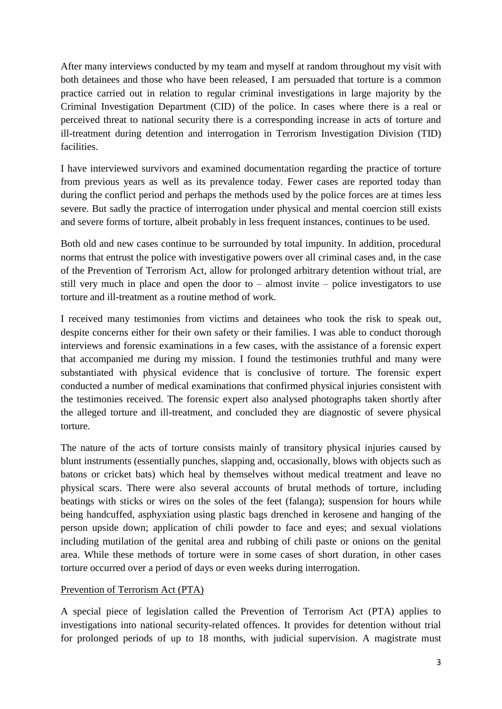After many interviews conducted by my team and myself at random throughout my visit with both detainees and those who have been released, I am persuaded that torture is a common practice carried out in relation to regular criminal investigations in large majority by the Criminal Investigation Department (CID) of the police. In cases where there is a real or perceived threat to national security there is a corresponding increase in acts of torture and ill-treatment during detention and interrogation in Terrorism Investigation Division (TID) facilities.

I have interviewed survivors and examined documentation regarding the practice of torture from previous years as well as its prevalence today. Fewer cases are reported today than during the conflict period and perhaps the methods used by the police forces are at times less severe. But sadly the practice of interrogation under physical and mental coercion still exists and severe forms of torture, albeit probably in less frequent instances, continues to be used.

Both old and new cases continue to be surrounded by total impunity. In addition, procedural norms that entrust the police with investigative powers over all criminal cases and, in the case of the Prevention of Terrorism Act, allow for prolonged arbitrary detention without trial, are still very much in place and open the door to – almost invite – police investigators to use torture and ill-treatment as a routine method of work.

I received many testimonies from victims and detainees who took the risk to speak out, despite concerns either for their own safety or their families. I was able to conduct thorough interviews and forensic examinations in a few cases, with the assistance of a forensic expert that accompanied me during my mission. I found the testimonies truthful and many were substantiated with physical evidence that is conclusive of torture. The forensic expert conducted a number of medical examinations that confirmed physical injuries consistent with the testimonies received. The forensic expert also analysed photographs taken shortly after the alleged torture and ill-treatment, and concluded they are diagnostic of severe physical torture.

The nature of the acts of torture consists mainly of transitory physical injuries caused by blunt instruments (essentially punches, slapping and, occasionally, blows with objects such as batons or cricket bats) which heal by themselves without medical treatment and leave no physical scars. There were also several accounts of brutal methods of torture, including beatings with sticks or wires on the soles of the feet (falanga); suspension for hours while being handcuffed, asphyxiation using plastic bags drenched in kerosene and hanging of the person upside down; application of chili powder to face and eyes; and sexual violations including mutilation of the genital area and rubbing of chili paste or onions on the genital area. While these methods of torture were in some cases of short duration, in other cases torture occurred over a period of days or even weeks during interrogation.

#### Prevention of Terrorism Act (PTA)

A special piece of legislation called the Prevention of Terrorism Act (PTA) applies to investigations into national security-related offences. It provides for detention without trial for prolonged periods of up to 18 months, with judicial supervision. A magistrate must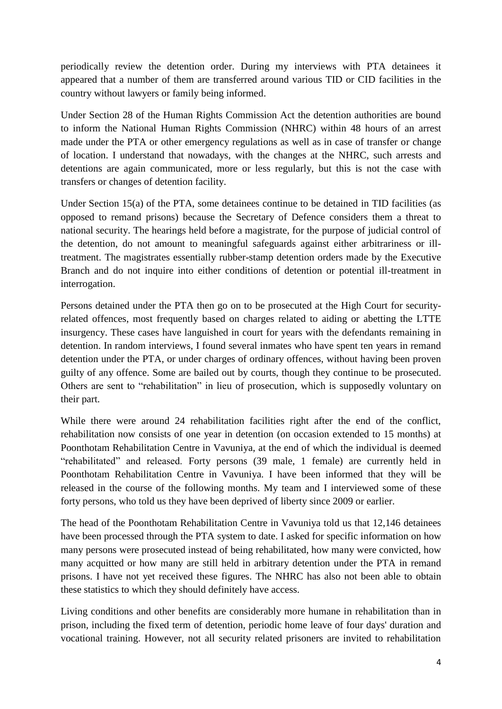periodically review the detention order. During my interviews with PTA detainees it appeared that a number of them are transferred around various TID or CID facilities in the country without lawyers or family being informed.

Under Section 28 of the Human Rights Commission Act the detention authorities are bound to inform the National Human Rights Commission (NHRC) within 48 hours of an arrest made under the PTA or other emergency regulations as well as in case of transfer or change of location. I understand that nowadays, with the changes at the NHRC, such arrests and detentions are again communicated, more or less regularly, but this is not the case with transfers or changes of detention facility.

Under Section 15(a) of the PTA, some detainees continue to be detained in TID facilities (as opposed to remand prisons) because the Secretary of Defence considers them a threat to national security. The hearings held before a magistrate, for the purpose of judicial control of the detention, do not amount to meaningful safeguards against either arbitrariness or illtreatment. The magistrates essentially rubber-stamp detention orders made by the Executive Branch and do not inquire into either conditions of detention or potential ill-treatment in interrogation.

Persons detained under the PTA then go on to be prosecuted at the High Court for securityrelated offences, most frequently based on charges related to aiding or abetting the LTTE insurgency. These cases have languished in court for years with the defendants remaining in detention. In random interviews, I found several inmates who have spent ten years in remand detention under the PTA, or under charges of ordinary offences, without having been proven guilty of any offence. Some are bailed out by courts, though they continue to be prosecuted. Others are sent to "rehabilitation" in lieu of prosecution, which is supposedly voluntary on their part.

While there were around 24 rehabilitation facilities right after the end of the conflict, rehabilitation now consists of one year in detention (on occasion extended to 15 months) at Poonthotam Rehabilitation Centre in Vavuniya, at the end of which the individual is deemed "rehabilitated" and released. Forty persons (39 male, 1 female) are currently held in Poonthotam Rehabilitation Centre in Vavuniya. I have been informed that they will be released in the course of the following months. My team and I interviewed some of these forty persons, who told us they have been deprived of liberty since 2009 or earlier.

The head of the Poonthotam Rehabilitation Centre in Vavuniya told us that 12,146 detainees have been processed through the PTA system to date. I asked for specific information on how many persons were prosecuted instead of being rehabilitated, how many were convicted, how many acquitted or how many are still held in arbitrary detention under the PTA in remand prisons. I have not yet received these figures. The NHRC has also not been able to obtain these statistics to which they should definitely have access.

Living conditions and other benefits are considerably more humane in rehabilitation than in prison, including the fixed term of detention, periodic home leave of four days' duration and vocational training. However, not all security related prisoners are invited to rehabilitation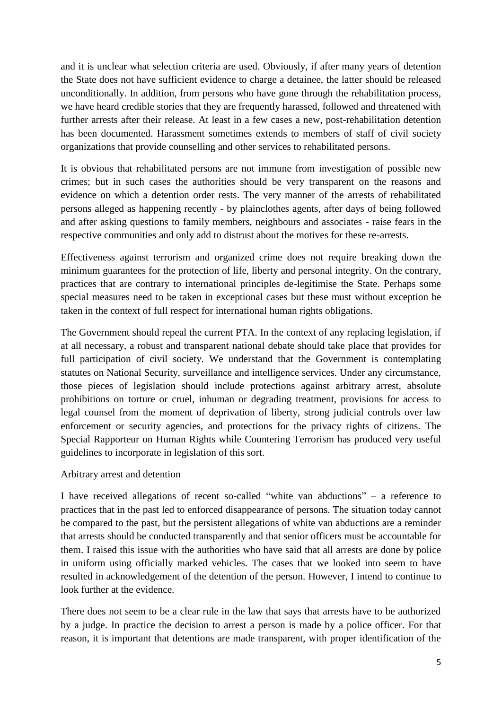and it is unclear what selection criteria are used. Obviously, if after many years of detention the State does not have sufficient evidence to charge a detainee, the latter should be released unconditionally. In addition, from persons who have gone through the rehabilitation process, we have heard credible stories that they are frequently harassed, followed and threatened with further arrests after their release. At least in a few cases a new, post-rehabilitation detention has been documented. Harassment sometimes extends to members of staff of civil society organizations that provide counselling and other services to rehabilitated persons.

It is obvious that rehabilitated persons are not immune from investigation of possible new crimes; but in such cases the authorities should be very transparent on the reasons and evidence on which a detention order rests. The very manner of the arrests of rehabilitated persons alleged as happening recently - by plainclothes agents, after days of being followed and after asking questions to family members, neighbours and associates - raise fears in the respective communities and only add to distrust about the motives for these re-arrests.

Effectiveness against terrorism and organized crime does not require breaking down the minimum guarantees for the protection of life, liberty and personal integrity. On the contrary, practices that are contrary to international principles de-legitimise the State. Perhaps some special measures need to be taken in exceptional cases but these must without exception be taken in the context of full respect for international human rights obligations.

The Government should repeal the current PTA. In the context of any replacing legislation, if at all necessary, a robust and transparent national debate should take place that provides for full participation of civil society. We understand that the Government is contemplating statutes on National Security, surveillance and intelligence services. Under any circumstance, those pieces of legislation should include protections against arbitrary arrest, absolute prohibitions on torture or cruel, inhuman or degrading treatment, provisions for access to legal counsel from the moment of deprivation of liberty, strong judicial controls over law enforcement or security agencies, and protections for the privacy rights of citizens. The Special Rapporteur on Human Rights while Countering Terrorism has produced very useful guidelines to incorporate in legislation of this sort.

#### Arbitrary arrest and detention

I have received allegations of recent so-called "white van abductions" – a reference to practices that in the past led to enforced disappearance of persons. The situation today cannot be compared to the past, but the persistent allegations of white van abductions are a reminder that arrests should be conducted transparently and that senior officers must be accountable for them. I raised this issue with the authorities who have said that all arrests are done by police in uniform using officially marked vehicles. The cases that we looked into seem to have resulted in acknowledgement of the detention of the person. However, I intend to continue to look further at the evidence.

There does not seem to be a clear rule in the law that says that arrests have to be authorized by a judge. In practice the decision to arrest a person is made by a police officer. For that reason, it is important that detentions are made transparent, with proper identification of the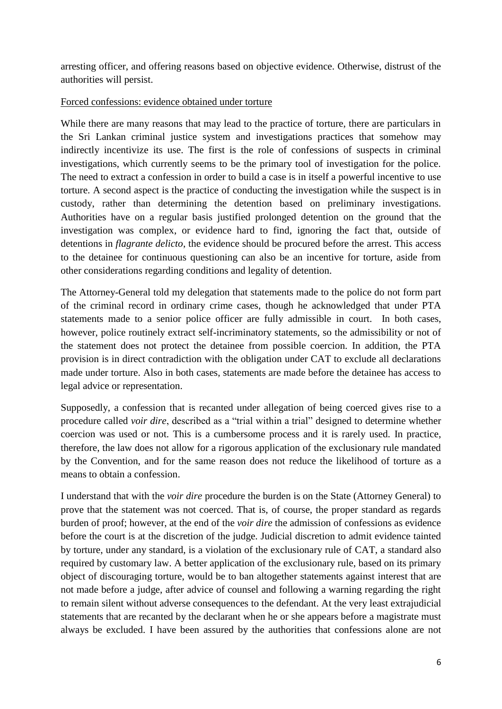arresting officer, and offering reasons based on objective evidence. Otherwise, distrust of the authorities will persist.

#### Forced confessions: evidence obtained under torture

While there are many reasons that may lead to the practice of torture, there are particulars in the Sri Lankan criminal justice system and investigations practices that somehow may indirectly incentivize its use. The first is the role of confessions of suspects in criminal investigations, which currently seems to be the primary tool of investigation for the police. The need to extract a confession in order to build a case is in itself a powerful incentive to use torture. A second aspect is the practice of conducting the investigation while the suspect is in custody, rather than determining the detention based on preliminary investigations. Authorities have on a regular basis justified prolonged detention on the ground that the investigation was complex, or evidence hard to find, ignoring the fact that, outside of detentions in *flagrante delicto*, the evidence should be procured before the arrest. This access to the detainee for continuous questioning can also be an incentive for torture, aside from other considerations regarding conditions and legality of detention.

The Attorney-General told my delegation that statements made to the police do not form part of the criminal record in ordinary crime cases, though he acknowledged that under PTA statements made to a senior police officer are fully admissible in court. In both cases, however, police routinely extract self-incriminatory statements, so the admissibility or not of the statement does not protect the detainee from possible coercion. In addition, the PTA provision is in direct contradiction with the obligation under CAT to exclude all declarations made under torture. Also in both cases, statements are made before the detainee has access to legal advice or representation.

Supposedly, a confession that is recanted under allegation of being coerced gives rise to a procedure called *voir dire*, described as a "trial within a trial" designed to determine whether coercion was used or not. This is a cumbersome process and it is rarely used. In practice, therefore, the law does not allow for a rigorous application of the exclusionary rule mandated by the Convention, and for the same reason does not reduce the likelihood of torture as a means to obtain a confession.

I understand that with the *voir dire* procedure the burden is on the State (Attorney General) to prove that the statement was not coerced. That is, of course, the proper standard as regards burden of proof; however, at the end of the *voir dire* the admission of confessions as evidence before the court is at the discretion of the judge. Judicial discretion to admit evidence tainted by torture, under any standard, is a violation of the exclusionary rule of CAT, a standard also required by customary law. A better application of the exclusionary rule, based on its primary object of discouraging torture, would be to ban altogether statements against interest that are not made before a judge, after advice of counsel and following a warning regarding the right to remain silent without adverse consequences to the defendant. At the very least extrajudicial statements that are recanted by the declarant when he or she appears before a magistrate must always be excluded. I have been assured by the authorities that confessions alone are not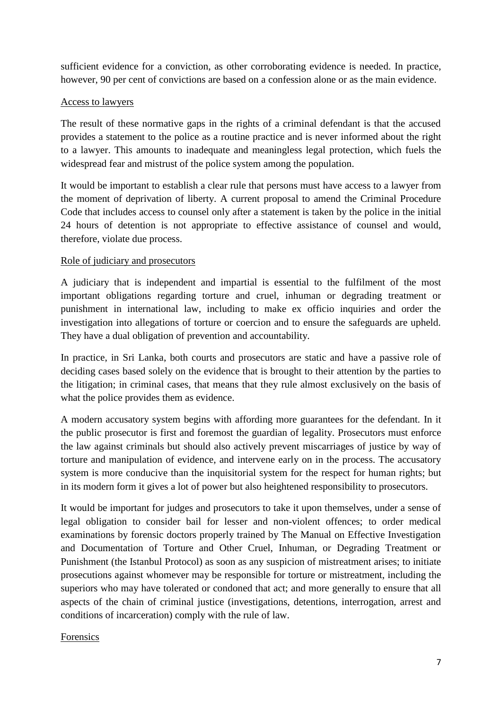sufficient evidence for a conviction, as other corroborating evidence is needed. In practice, however, 90 per cent of convictions are based on a confession alone or as the main evidence.

#### Access to lawyers

The result of these normative gaps in the rights of a criminal defendant is that the accused provides a statement to the police as a routine practice and is never informed about the right to a lawyer. This amounts to inadequate and meaningless legal protection, which fuels the widespread fear and mistrust of the police system among the population.

It would be important to establish a clear rule that persons must have access to a lawyer from the moment of deprivation of liberty. A current proposal to amend the Criminal Procedure Code that includes access to counsel only after a statement is taken by the police in the initial 24 hours of detention is not appropriate to effective assistance of counsel and would, therefore, violate due process.

## Role of judiciary and prosecutors

A judiciary that is independent and impartial is essential to the fulfilment of the most important obligations regarding torture and cruel, inhuman or degrading treatment or punishment in international law, including to make ex officio inquiries and order the investigation into allegations of torture or coercion and to ensure the safeguards are upheld. They have a dual obligation of prevention and accountability.

In practice, in Sri Lanka, both courts and prosecutors are static and have a passive role of deciding cases based solely on the evidence that is brought to their attention by the parties to the litigation; in criminal cases, that means that they rule almost exclusively on the basis of what the police provides them as evidence.

A modern accusatory system begins with affording more guarantees for the defendant. In it the public prosecutor is first and foremost the guardian of legality. Prosecutors must enforce the law against criminals but should also actively prevent miscarriages of justice by way of torture and manipulation of evidence, and intervene early on in the process. The accusatory system is more conducive than the inquisitorial system for the respect for human rights; but in its modern form it gives a lot of power but also heightened responsibility to prosecutors.

It would be important for judges and prosecutors to take it upon themselves, under a sense of legal obligation to consider bail for lesser and non-violent offences; to order medical examinations by forensic doctors properly trained by The Manual on Effective Investigation and Documentation of Torture and Other Cruel, Inhuman, or Degrading Treatment or Punishment (the Istanbul Protocol) as soon as any suspicion of mistreatment arises; to initiate prosecutions against whomever may be responsible for torture or mistreatment, including the superiors who may have tolerated or condoned that act; and more generally to ensure that all aspects of the chain of criminal justice (investigations, detentions, interrogation, arrest and conditions of incarceration) comply with the rule of law.

# Forensics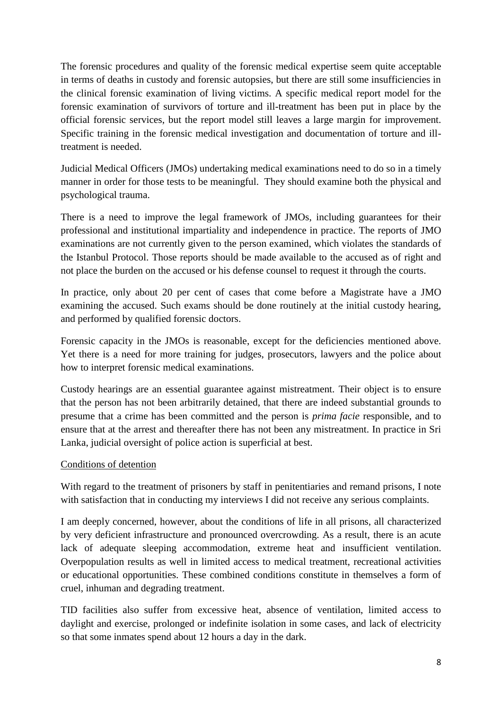The forensic procedures and quality of the forensic medical expertise seem quite acceptable in terms of deaths in custody and forensic autopsies, but there are still some insufficiencies in the clinical forensic examination of living victims. A specific medical report model for the forensic examination of survivors of torture and ill-treatment has been put in place by the official forensic services, but the report model still leaves a large margin for improvement. Specific training in the forensic medical investigation and documentation of torture and illtreatment is needed.

Judicial Medical Officers (JMOs) undertaking medical examinations need to do so in a timely manner in order for those tests to be meaningful. They should examine both the physical and psychological trauma.

There is a need to improve the legal framework of JMOs, including guarantees for their professional and institutional impartiality and independence in practice. The reports of JMO examinations are not currently given to the person examined, which violates the standards of the Istanbul Protocol. Those reports should be made available to the accused as of right and not place the burden on the accused or his defense counsel to request it through the courts.

In practice, only about 20 per cent of cases that come before a Magistrate have a JMO examining the accused. Such exams should be done routinely at the initial custody hearing, and performed by qualified forensic doctors.

Forensic capacity in the JMOs is reasonable, except for the deficiencies mentioned above. Yet there is a need for more training for judges, prosecutors, lawyers and the police about how to interpret forensic medical examinations.

Custody hearings are an essential guarantee against mistreatment. Their object is to ensure that the person has not been arbitrarily detained, that there are indeed substantial grounds to presume that a crime has been committed and the person is *prima facie* responsible, and to ensure that at the arrest and thereafter there has not been any mistreatment. In practice in Sri Lanka, judicial oversight of police action is superficial at best.

#### Conditions of detention

With regard to the treatment of prisoners by staff in penitentiaries and remand prisons, I note with satisfaction that in conducting my interviews I did not receive any serious complaints.

I am deeply concerned, however, about the conditions of life in all prisons, all characterized by very deficient infrastructure and pronounced overcrowding. As a result, there is an acute lack of adequate sleeping accommodation, extreme heat and insufficient ventilation. Overpopulation results as well in limited access to medical treatment, recreational activities or educational opportunities. These combined conditions constitute in themselves a form of cruel, inhuman and degrading treatment.

TID facilities also suffer from excessive heat, absence of ventilation, limited access to daylight and exercise, prolonged or indefinite isolation in some cases, and lack of electricity so that some inmates spend about 12 hours a day in the dark.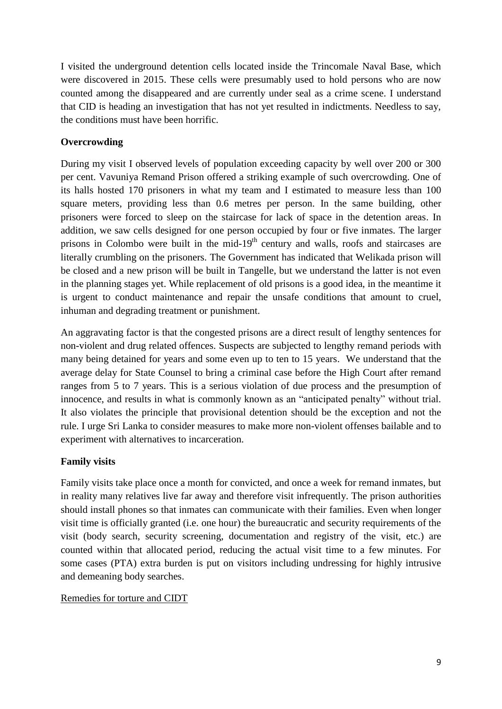I visited the underground detention cells located inside the Trincomale Naval Base, which were discovered in 2015. These cells were presumably used to hold persons who are now counted among the disappeared and are currently under seal as a crime scene. I understand that CID is heading an investigation that has not yet resulted in indictments. Needless to say, the conditions must have been horrific.

# **Overcrowding**

During my visit I observed levels of population exceeding capacity by well over 200 or 300 per cent. Vavuniya Remand Prison offered a striking example of such overcrowding. One of its halls hosted 170 prisoners in what my team and I estimated to measure less than 100 square meters, providing less than 0.6 metres per person. In the same building, other prisoners were forced to sleep on the staircase for lack of space in the detention areas. In addition, we saw cells designed for one person occupied by four or five inmates. The larger prisons in Colombo were built in the mid- $19<sup>th</sup>$  century and walls, roofs and staircases are literally crumbling on the prisoners. The Government has indicated that Welikada prison will be closed and a new prison will be built in Tangelle, but we understand the latter is not even in the planning stages yet. While replacement of old prisons is a good idea, in the meantime it is urgent to conduct maintenance and repair the unsafe conditions that amount to cruel, inhuman and degrading treatment or punishment.

An aggravating factor is that the congested prisons are a direct result of lengthy sentences for non-violent and drug related offences. Suspects are subjected to lengthy remand periods with many being detained for years and some even up to ten to 15 years. We understand that the average delay for State Counsel to bring a criminal case before the High Court after remand ranges from 5 to 7 years. This is a serious violation of due process and the presumption of innocence, and results in what is commonly known as an "anticipated penalty" without trial. It also violates the principle that provisional detention should be the exception and not the rule. I urge Sri Lanka to consider measures to make more non-violent offenses bailable and to experiment with alternatives to incarceration.

# **Family visits**

Family visits take place once a month for convicted, and once a week for remand inmates, but in reality many relatives live far away and therefore visit infrequently. The prison authorities should install phones so that inmates can communicate with their families. Even when longer visit time is officially granted (i.e. one hour) the bureaucratic and security requirements of the visit (body search, security screening, documentation and registry of the visit, etc.) are counted within that allocated period, reducing the actual visit time to a few minutes. For some cases (PTA) extra burden is put on visitors including undressing for highly intrusive and demeaning body searches.

# Remedies for torture and CIDT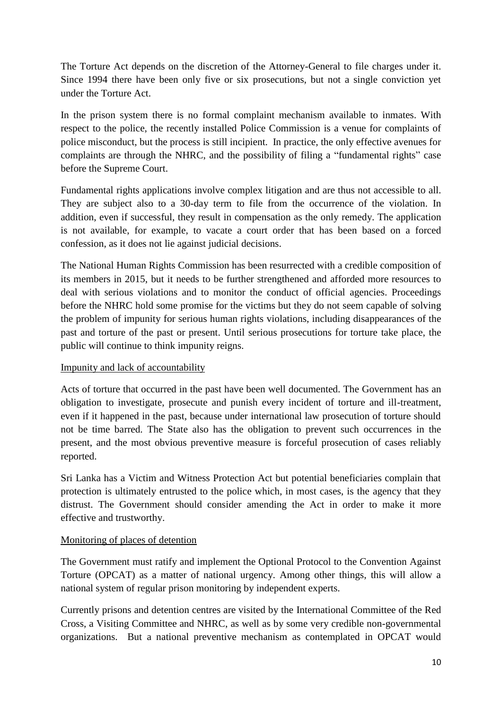The Torture Act depends on the discretion of the Attorney-General to file charges under it. Since 1994 there have been only five or six prosecutions, but not a single conviction yet under the Torture Act.

In the prison system there is no formal complaint mechanism available to inmates. With respect to the police, the recently installed Police Commission is a venue for complaints of police misconduct, but the process is still incipient. In practice, the only effective avenues for complaints are through the NHRC, and the possibility of filing a "fundamental rights" case before the Supreme Court.

Fundamental rights applications involve complex litigation and are thus not accessible to all. They are subject also to a 30-day term to file from the occurrence of the violation. In addition, even if successful, they result in compensation as the only remedy. The application is not available, for example, to vacate a court order that has been based on a forced confession, as it does not lie against judicial decisions.

The National Human Rights Commission has been resurrected with a credible composition of its members in 2015, but it needs to be further strengthened and afforded more resources to deal with serious violations and to monitor the conduct of official agencies. Proceedings before the NHRC hold some promise for the victims but they do not seem capable of solving the problem of impunity for serious human rights violations, including disappearances of the past and torture of the past or present. Until serious prosecutions for torture take place, the public will continue to think impunity reigns.

# Impunity and lack of accountability

Acts of torture that occurred in the past have been well documented. The Government has an obligation to investigate, prosecute and punish every incident of torture and ill-treatment, even if it happened in the past, because under international law prosecution of torture should not be time barred. The State also has the obligation to prevent such occurrences in the present, and the most obvious preventive measure is forceful prosecution of cases reliably reported.

Sri Lanka has a Victim and Witness Protection Act but potential beneficiaries complain that protection is ultimately entrusted to the police which, in most cases, is the agency that they distrust. The Government should consider amending the Act in order to make it more effective and trustworthy.

#### Monitoring of places of detention

The Government must ratify and implement the Optional Protocol to the Convention Against Torture (OPCAT) as a matter of national urgency. Among other things, this will allow a national system of regular prison monitoring by independent experts.

Currently prisons and detention centres are visited by the International Committee of the Red Cross, a Visiting Committee and NHRC, as well as by some very credible non-governmental organizations. But a national preventive mechanism as contemplated in OPCAT would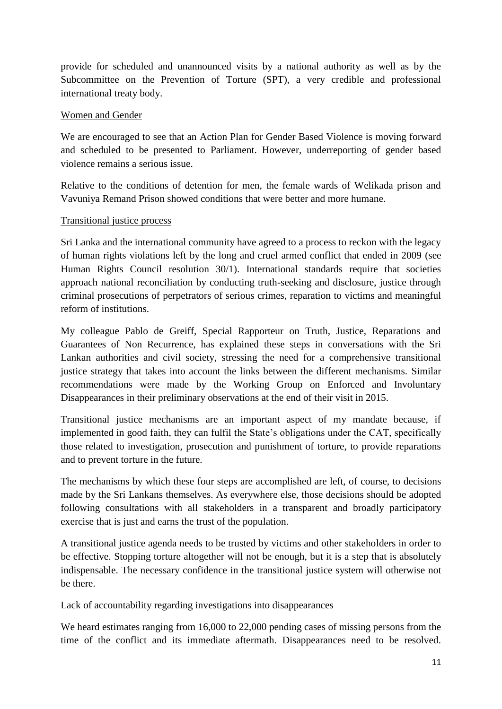provide for scheduled and unannounced visits by a national authority as well as by the Subcommittee on the Prevention of Torture (SPT), a very credible and professional international treaty body.

#### Women and Gender

We are encouraged to see that an Action Plan for Gender Based Violence is moving forward and scheduled to be presented to Parliament. However, underreporting of gender based violence remains a serious issue.

Relative to the conditions of detention for men, the female wards of Welikada prison and Vavuniya Remand Prison showed conditions that were better and more humane.

## Transitional justice process

Sri Lanka and the international community have agreed to a process to reckon with the legacy of human rights violations left by the long and cruel armed conflict that ended in 2009 (see Human Rights Council resolution 30/1). International standards require that societies approach national reconciliation by conducting truth-seeking and disclosure, justice through criminal prosecutions of perpetrators of serious crimes, reparation to victims and meaningful reform of institutions.

My colleague Pablo de Greiff, Special Rapporteur on Truth, Justice, Reparations and Guarantees of Non Recurrence, has explained these steps in conversations with the Sri Lankan authorities and civil society, stressing the need for a comprehensive transitional justice strategy that takes into account the links between the different mechanisms. Similar recommendations were made by the Working Group on Enforced and Involuntary Disappearances in their preliminary observations at the end of their visit in 2015.

Transitional justice mechanisms are an important aspect of my mandate because, if implemented in good faith, they can fulfil the State's obligations under the CAT, specifically those related to investigation, prosecution and punishment of torture, to provide reparations and to prevent torture in the future.

The mechanisms by which these four steps are accomplished are left, of course, to decisions made by the Sri Lankans themselves. As everywhere else, those decisions should be adopted following consultations with all stakeholders in a transparent and broadly participatory exercise that is just and earns the trust of the population.

A transitional justice agenda needs to be trusted by victims and other stakeholders in order to be effective. Stopping torture altogether will not be enough, but it is a step that is absolutely indispensable. The necessary confidence in the transitional justice system will otherwise not be there.

#### Lack of accountability regarding investigations into disappearances

We heard estimates ranging from 16,000 to 22,000 pending cases of missing persons from the time of the conflict and its immediate aftermath. Disappearances need to be resolved.